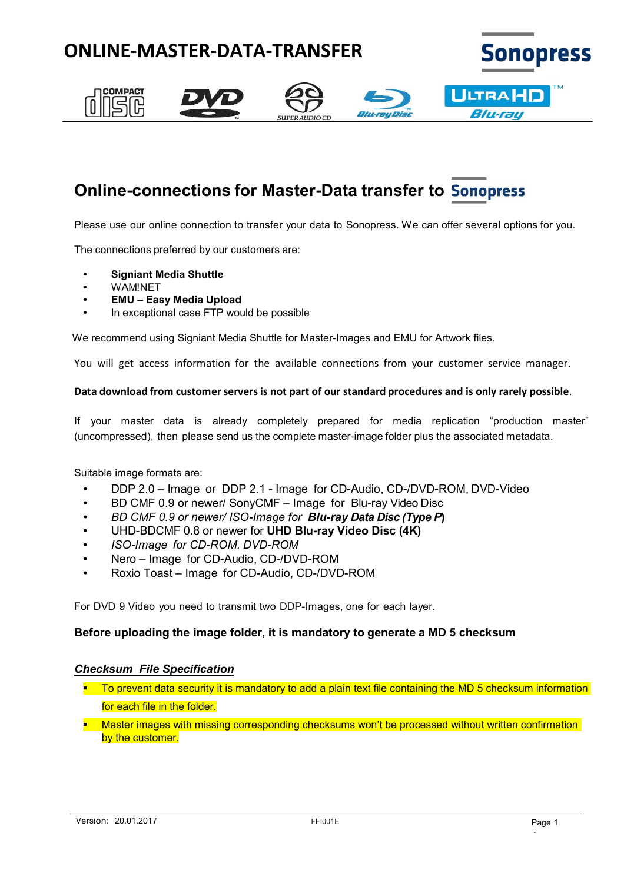

# **Online-connections for Master-Data transfer to**

Please use our online connection to transfer your data to Sonopress. We can offer several options for you.

The connections preferred by our customers are:

- **Signiant Media Shuttle**
- WAM!NET
- **EMU – Easy Media Upload**
- In exceptional case FTP would be possible

We recommend using Signiant Media Shuttle for Master-Images and EMU for Artwork files.

You will get access information for the available connections from your customer service manager.

#### **Data download from customerserversis not part of our standard procedures and is only rarely possible**.

If your master data is already completely prepared for media replication "production master" (uncompressed), then please send us the complete master-image folder plus the associated metadata.

Suitable image formats are:

- DDP 2.0 Image or DDP 2.1 Image for CD-Audio, CD-/DVD-ROM, DVD-Video
- BD CMF 0.9 or newer/ SonyCMF Image for Blu-ray Video Disc
- *BD CMF 0.9 or newer/ ISO-Image for Blu-ray Data Disc (Type P***)**
- UHD-BDCMF 0.8 or newer for **UHD Blu-ray Video Disc (4K)**
- *ISO-Image for CD-ROM, DVD-ROM*
- Nero Image for CD-Audio, CD-/DVD-ROM
- Roxio Toast Image for CD-Audio, CD-/DVD-ROM

For DVD 9 Video you need to transmit two DDP-Images, one for each layer.

#### **Before uploading the image folder, it is mandatory to generate a MD 5 checksum**

#### *Checksum File Specification*

- **T** To prevent data security it is mandatory to add a plain text file containing the MD 5 checksum information for each file in the folder.
- **Master images with missing corresponding checksums won't be processed without written confirmation** by the customer.

 $\ddot{\phantom{0}}$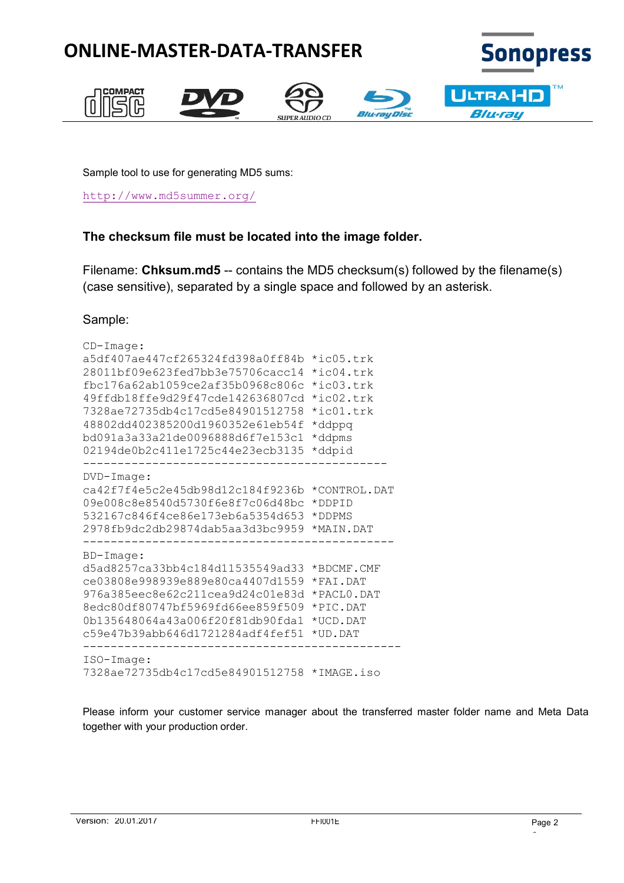

Sample tool to use for generating MD5 sums:

<http://www.md5summer.org/>

## **The checksum file must be located into the image folder.**

Filename: **Chksum.md5** -- contains the MD5 checksum(s) followed by the filename(s) (case sensitive), separated by a single space and followed by an asterisk.

### Sample:

```
CD-Image:
a5df407ae447cf265324fd398a0ff84b *ic05.trk
28011bf09e623fed7bb3e75706cacc14 *ic04.trk
fbc176a62ab1059ce2af35b0968c806c *ic03.trk
49ffdb18ffe9d29f47cde142636807cd *ic02.trk
7328ae72735db4c17cd5e84901512758 *ic01.trk
48802dd402385200d1960352e61eb54f *ddppq
bd091a3a33a21de0096888d6f7e153c1 *ddpms
02194de0b2c411e1725c44e23ecb3135 *ddpid
--------------------------------------------
DVD-Image:
ca42f7f4e5c2e45db98d12c184f9236b *CONTROL.DAT
09e008c8e8540d5730f6e8f7c06d48bc *DDPID
532167c846f4ce86e173eb6a5354d653 *DDPMS
2978fb9dc2db29874dab5aa3d3bc9959 *MAIN.DAT
---------------------------------------------
BD-Image:
d5ad8257ca33bb4c184d11535549ad33 *BDCMF.CMF
ce03808e998939e889e80ca4407d1559 *FAI.DAT
976a385eec8e62c211cea9d24c01e83d *PACL0.DAT
8edc80df80747bf5969fd66ee859f509 *PIC.DAT
0b135648064a43a006f20f81db90fda1 *UCD.DAT
c59e47b39abb646d1721284adf4fef51 *UD.DAT
----------------------------------------------
ISO-Image:
7328ae72735db4c17cd5e84901512758 *IMAGE.iso
```
Please inform your customer service manager about the transferred master folder name and Meta Data together with your production order.

 $\overline{a}$